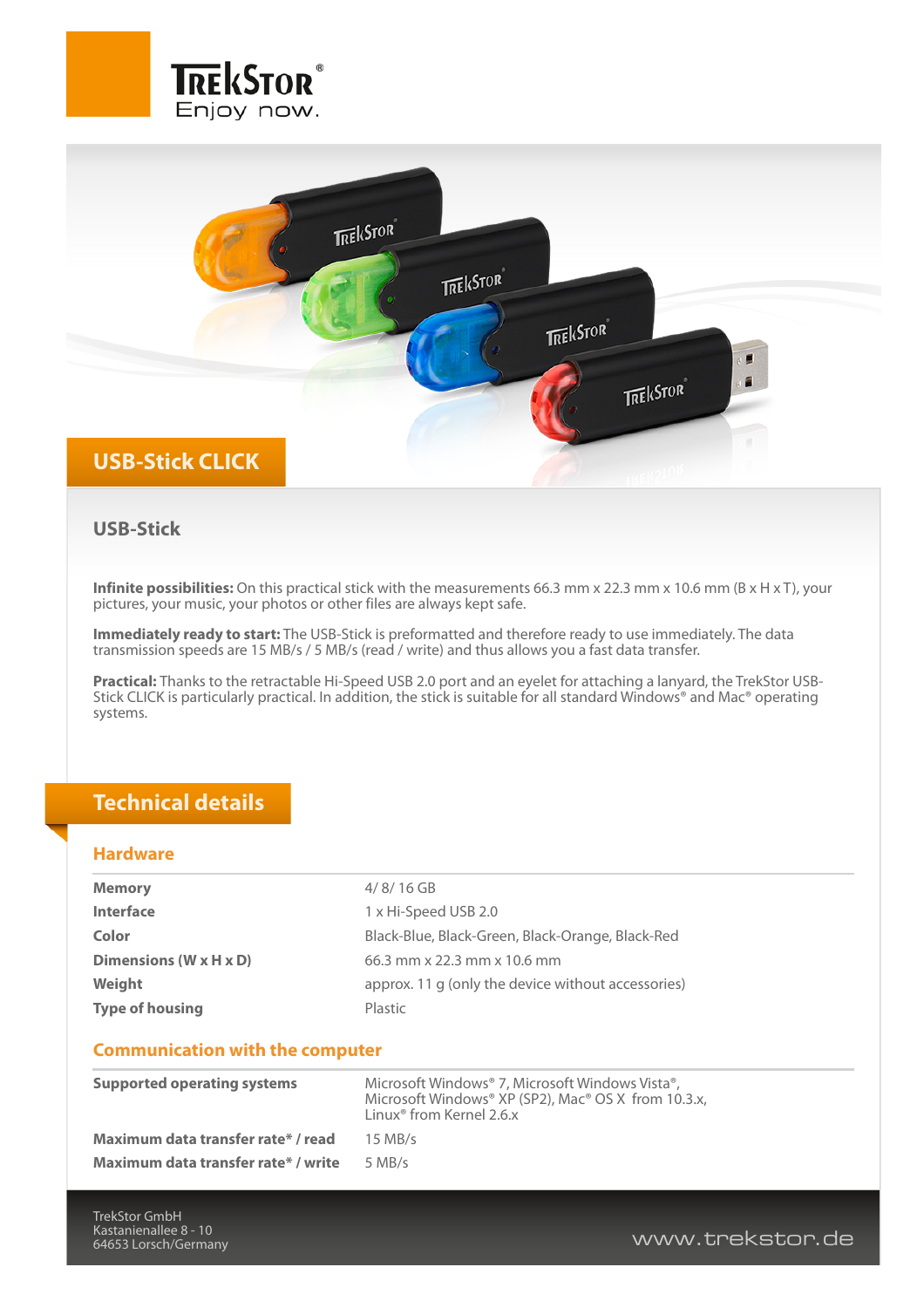



### **USB-Stick**

**Infinite possibilities:** On this practical stick with the measurements 66.3 mm x 22.3 mm x 10.6 mm (B x H x T), your pictures, your music, your photos or other files are always kept safe.

**Immediately ready to start:** The USB-Stick is preformatted and therefore ready to use immediately. The data transmission speeds are 15 MB/s / 5 MB/s (read / write) and thus allows you a fast data transfer.

**Practical:** Thanks to the retractable Hi-Speed USB 2.0 port and an eyelet for attaching a lanyard, the TrekStor USB-Stick CLICK is particularly practical. In addition, the stick is suitable for all standard Windows® and Mac® operating systems.

### **Technical details**

#### **Hardware**

| <b>Memory</b>                          | $4/8/16$ GB                                        |
|----------------------------------------|----------------------------------------------------|
| <b>Interface</b>                       | 1 x Hi-Speed USB 2.0                               |
| Color                                  | Black-Blue, Black-Green, Black-Orange, Black-Red   |
| Dimensions (W x H x D)                 | 66.3 mm x 22.3 mm x 10.6 mm                        |
| Weight                                 | approx. 11 g (only the device without accessories) |
| <b>Type of housing</b>                 | Plastic                                            |
|                                        |                                                    |
| <b>Communication with the computer</b> |                                                    |

#### **Supported operating systems** Microsoft Windows® 7, Microsoft Windows Vista®, Microsoft Windows® XP (SP2), Mac® OS X from 10.3.x, Linux® from Kernel 2.6.x **Maximum data transfer rate\* / read** 15 MB/s **Maximum data transfer rate\* / write** 5 MB/s